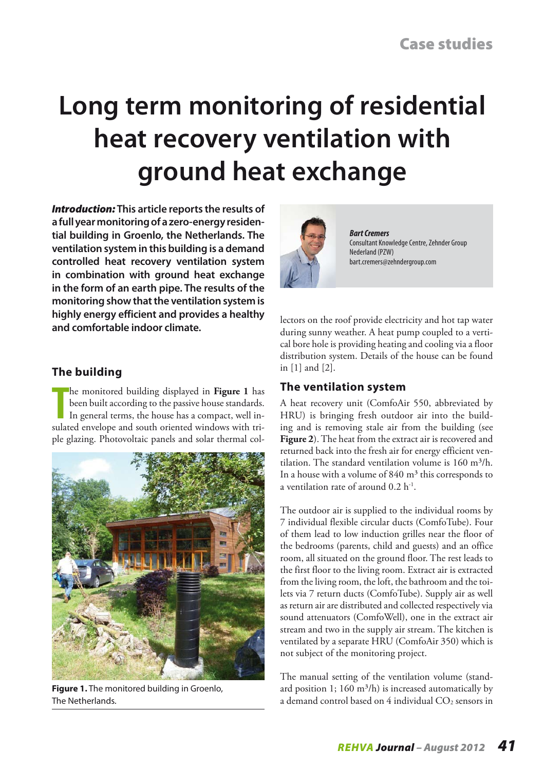# **Long term monitoring of residential heat recovery ventilation with ground heat exchange**

*Introduction:* **This article reports the results of a full year monitoring of a zero-energy residential building in Groenlo, the Netherlands. The ventilation system in this building is a demand controlled heat recovery ventilation system in combination with ground heat exchange in the form of an earth pipe. The results of the monitoring show that the ventilation system is highly energy efficient and provides a healthy and comfortable indoor climate.**



*Bart Cremers* Consultant Knowledge Centre, Zehnder Group Nederland (PZW) bart.cremers@zehndergroup.com

#### lectors on the roof provide electricity and hot tap water during sunny weather. A heat pump coupled to a vertical bore hole is providing heating and cooling via a floor distribution system. Details of the house can be found in [1] and [2].

## **The ventilation system**

A heat recovery unit (ComfoAir 550, abbreviated by HRU) is bringing fresh outdoor air into the building and is removing stale air from the building (see **Figure 2**). The heat from the extract air is recovered and returned back into the fresh air for energy efficient ventilation. The standard ventilation volume is  $160 \text{ m}^3/\text{h}$ . In a house with a volume of  $840 \text{ m}^3$  this corresponds to a ventilation rate of around 0.2 h-1.

The outdoor air is supplied to the individual rooms by 7 individual flexible circular ducts (ComfoTube). Four of them lead to low induction grilles near the floor of the bedrooms (parents, child and guests) and an office room, all situated on the ground floor. The rest leads to the first floor to the living room. Extract air is extracted from the living room, the loft, the bathroom and the toilets via 7 return ducts (ComfoTube). Supply air as well as return air are distributed and collected respectively via sound attenuators (ComfoWell), one in the extract air stream and two in the supply air stream. The kitchen is ventilated by a separate HRU (ComfoAir 350) which is not subject of the monitoring project.

The manual setting of the ventilation volume (standard position 1; 160 m<sup>3</sup>/h) is increased automatically by a demand control based on  $4$  individual  $CO<sub>2</sub>$  sensors in

## **The building**

The monitored building displayed in Figure 1 has<br>been built according to the passive house standards.<br>In general terms, the house has a compact, well in-<br>sulated envelope and south oriented windows with trihe monitored building displayed in **Figure 1** has been built according to the passive house standards. In general terms, the house has a compact, well inple glazing. Photovoltaic panels and solar thermal col-



**Figure 1.** The monitored building in Groenlo, The Netherlands.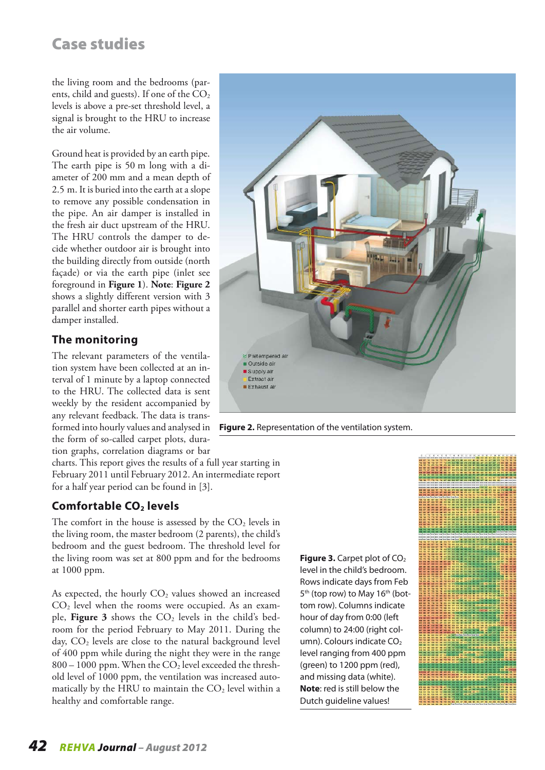the living room and the bedrooms (parents, child and guests). If one of the  $CO<sub>2</sub>$ levels is above a pre-set threshold level, a signal is brought to the HRU to increase the air volume.

Ground heat is provided by an earth pipe. The earth pipe is 50 m long with a diameter of 200 mm and a mean depth of 2.5 m. It is buried into the earth at a slope to remove any possible condensation in the pipe. An air damper is installed in the fresh air duct upstream of the HRU. The HRU controls the damper to decide whether outdoor air is brought into the building directly from outside (north façade) or via the earth pipe (inlet see foreground in **Figure 1**). **Note**: **Figure 2** shows a slightly different version with 3 parallel and shorter earth pipes without a damper installed.

## **The monitoring**

The relevant parameters of the ventilation system have been collected at an interval of 1 minute by a laptop connected to the HRU. The collected data is sent weekly by the resident accompanied by any relevant feedback. The data is transformed into hourly values and analysed in the form of so-called carpet plots, duration graphs, correlation diagrams or bar

charts. This report gives the results of a full year starting in February 2011 until February 2012. An intermediate report for a half year period can be found in [3].

## **Comfortable CO<sub>2</sub> levels**

The comfort in the house is assessed by the  $CO<sub>2</sub>$  levels in the living room, the master bedroom (2 parents), the child's bedroom and the guest bedroom. The threshold level for the living room was set at 800 ppm and for the bedrooms at 1000 ppm.

As expected, the hourly  $CO<sub>2</sub>$  values showed an increased  $CO<sub>2</sub>$  level when the rooms were occupied. As an example, **Figure 3** shows the  $CO<sub>2</sub>$  levels in the child's bedroom for the period February to May 2011. During the day,  $CO<sub>2</sub>$  levels are close to the natural background level of 400 ppm while during the night they were in the range  $800 - 1000$  ppm. When the  $CO<sub>2</sub>$  level exceeded the threshold level of 1000 ppm, the ventilation was increased automatically by the HRU to maintain the  $CO<sub>2</sub>$  level within a healthy and comfortable range.



**Figure 2.** Representation of the ventilation system.

**Figure 3.** Carpet plot of CO<sub>2</sub> level in the child's bedroom. Rows indicate days from Feb 5<sup>th</sup> (top row) to May 16<sup>th</sup> (bottom row). Columns indicate hour of day from 0:00 (left column) to 24:00 (right column). Colours indicate  $CO<sub>2</sub>$ level ranging from 400 ppm (green) to 1200 ppm (red), and missing data (white). **Note**: red is still below the Dutch guideline values!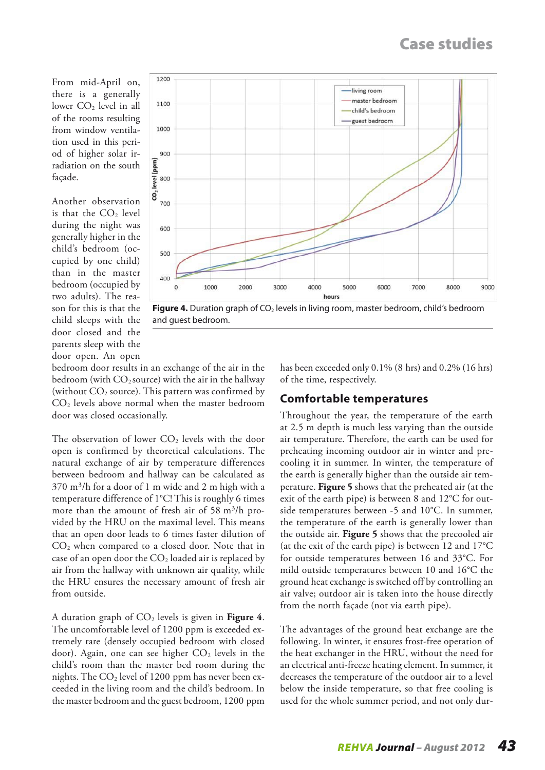From mid-April on, there is a generally lower CO<sub>2</sub> level in all of the rooms resulting from window ventilation used in this period of higher solar irradiation on the south façade.

Another observation is that the  $CO<sub>2</sub>$  level during the night was generally higher in the child's bedroom (occupied by one child) than in the master bedroom (occupied by two adults). The reason for this is that the child sleeps with the door closed and the parents sleep with the door open. An open

![](_page_2_Figure_3.jpeg)

![](_page_2_Figure_4.jpeg)

bedroom door results in an exchange of the air in the bedroom (with  $CO_2$  source) with the air in the hallway (without  $CO<sub>2</sub>$  source). This pattern was confirmed by CO2 levels above normal when the master bedroom door was closed occasionally.

The observation of lower  $CO<sub>2</sub>$  levels with the door open is confirmed by theoretical calculations. The natural exchange of air by temperature differences between bedroom and hallway can be calculated as  $370$  m<sup>3</sup>/h for a door of 1 m wide and 2 m high with a temperature difference of 1°C! This is roughly 6 times more than the amount of fresh air of 58 m<sup>3</sup>/h provided by the HRU on the maximal level. This means that an open door leads to 6 times faster dilution of  $CO<sub>2</sub>$  when compared to a closed door. Note that in case of an open door the  $CO<sub>2</sub>$  loaded air is replaced by air from the hallway with unknown air quality, while the HRU ensures the necessary amount of fresh air from outside.

A duration graph of  $CO<sub>2</sub>$  levels is given in **Figure 4.** The uncomfortable level of 1200 ppm is exceeded extremely rare (densely occupied bedroom with closed door). Again, one can see higher  $CO<sub>2</sub>$  levels in the child's room than the master bed room during the nights. The  $CO<sub>2</sub>$  level of 1200 ppm has never been exceeded in the living room and the child's bedroom. In the master bedroom and the guest bedroom, 1200 ppm

has been exceeded only 0.1% (8 hrs) and 0.2% (16 hrs) of the time, respectively.

## **Comfortable temperatures**

Throughout the year, the temperature of the earth at 2.5 m depth is much less varying than the outside air temperature. Therefore, the earth can be used for preheating incoming outdoor air in winter and precooling it in summer. In winter, the temperature of the earth is generally higher than the outside air temperature. **Figure 5** shows that the preheated air (at the exit of the earth pipe) is between 8 and 12°C for outside temperatures between -5 and 10°C. In summer, the temperature of the earth is generally lower than the outside air. **Figure 5** shows that the precooled air (at the exit of the earth pipe) is between 12 and 17°C for outside temperatures between 16 and 33°C. For mild outside temperatures between 10 and 16°C the ground heat exchange is switched off by controlling an air valve; outdoor air is taken into the house directly from the north façade (not via earth pipe).

The advantages of the ground heat exchange are the following. In winter, it ensures frost-free operation of the heat exchanger in the HRU, without the need for an electrical anti-freeze heating element. In summer, it decreases the temperature of the outdoor air to a level below the inside temperature, so that free cooling is used for the whole summer period, and not only dur-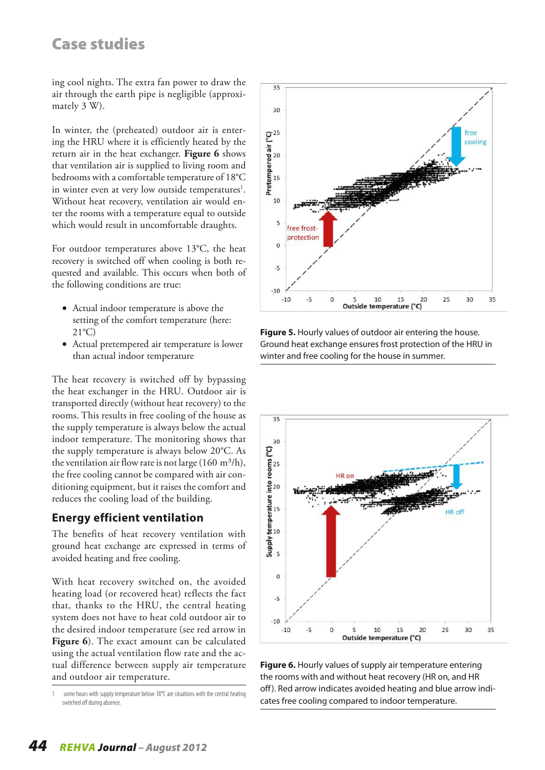ing cool nights. The extra fan power to draw the air through the earth pipe is negligible (approximately 3 W).

In winter, the (preheated) outdoor air is entering the HRU where it is efficiently heated by the return air in the heat exchanger. **Figure 6** shows that ventilation air is supplied to living room and bedrooms with a comfortable temperature of 18°C in winter even at very low outside temperatures<sup>1</sup>. Without heat recovery, ventilation air would enter the rooms with a temperature equal to outside which would result in uncomfortable draughts.

For outdoor temperatures above 13°C, the heat recovery is switched off when cooling is both requested and available. This occurs when both of the following conditions are true:

- Actual indoor temperature is above the setting of the comfort temperature (here:  $21^{\circ}$ C)
- • Actual pretempered air temperature is lower than actual indoor temperature

The heat recovery is switched off by bypassing the heat exchanger in the HRU. Outdoor air is transported directly (without heat recovery) to the rooms. This results in free cooling of the house as the supply temperature is always below the actual indoor temperature. The monitoring shows that the supply temperature is always below 20°C. As the ventilation air flow rate is not large  $(160 \text{ m}^3/\text{h})$ , the free cooling cannot be compared with air conditioning equipment, but it raises the comfort and reduces the cooling load of the building.

## **Energy efficient ventilation**

The benefits of heat recovery ventilation with ground heat exchange are expressed in terms of avoided heating and free cooling.

With heat recovery switched on, the avoided heating load (or recovered heat) reflects the fact that, thanks to the HRU, the central heating system does not have to heat cold outdoor air to the desired indoor temperature (see red arrow in **Figure 6**). The exact amount can be calculated using the actual ventilation flow rate and the actual difference between supply air temperature and outdoor air temperature.

![](_page_3_Figure_11.jpeg)

**Figure 5.** Hourly values of outdoor air entering the house. Ground heat exchange ensures frost protection of the HRU in winter and free cooling for the house in summer.

![](_page_3_Figure_13.jpeg)

**Figure 6.** Hourly values of supply air temperature entering the rooms with and without heat recovery (HR on, and HR off). Red arrow indicates avoided heating and blue arrow indicates free cooling compared to indoor temperature.

 some hours with supply temperature below 18°C are situations with the central heating switched off during absence.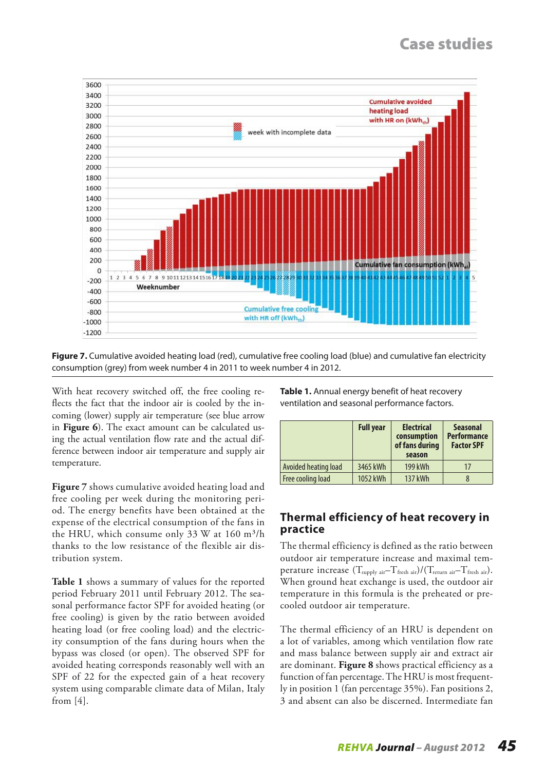![](_page_4_Figure_1.jpeg)

**Figure 7.** Cumulative avoided heating load (red), cumulative free cooling load (blue) and cumulative fan electricity consumption (grey) from week number 4 in 2011 to week number 4 in 2012.

With heat recovery switched off, the free cooling reflects the fact that the indoor air is cooled by the incoming (lower) supply air temperature (see blue arrow in **Figure 6**). The exact amount can be calculated using the actual ventilation flow rate and the actual difference between indoor air temperature and supply air temperature.

**Figure 7** shows cumulative avoided heating load and free cooling per week during the monitoring period. The energy benefits have been obtained at the expense of the electrical consumption of the fans in the HRU, which consume only 33 W at  $160 \text{ m}^3/\text{h}$ thanks to the low resistance of the flexible air distribution system.

**Table 1** shows a summary of values for the reported period February 2011 until February 2012. The seasonal performance factor SPF for avoided heating (or free cooling) is given by the ratio between avoided heating load (or free cooling load) and the electricity consumption of the fans during hours when the bypass was closed (or open). The observed SPF for avoided heating corresponds reasonably well with an SPF of 22 for the expected gain of a heat recovery system using comparable climate data of Milan, Italy from [4].

**Table 1.** Annual energy benefit of heat recovery ventilation and seasonal performance factors.

|                      | <b>Full year</b> | <b>Electrical</b><br>consumption<br>of fans during<br>season | <b>Seasonal</b><br><b>Performance</b><br><b>Factor SPF</b> |
|----------------------|------------------|--------------------------------------------------------------|------------------------------------------------------------|
| Avoided heating load | 3465 kWh         | 199 kWh                                                      | 17                                                         |
| Free cooling load    | 1052 kWh         | 137 kWh                                                      | 8                                                          |

#### **Thermal efficiency of heat recovery in practice**

The thermal efficiency is defined as the ratio between outdoor air temperature increase and maximal temperature increase  $(T_{\text{supply air}}-T_{\text{fresh air}})/(T_{\text{return air}}-T_{\text{fresh air}})$ . When ground heat exchange is used, the outdoor air temperature in this formula is the preheated or precooled outdoor air temperature.

The thermal efficiency of an HRU is dependent on a lot of variables, among which ventilation flow rate and mass balance between supply air and extract air are dominant. **Figure 8** shows practical efficiency as a function of fan percentage. The HRU is most frequently in position 1 (fan percentage 35%). Fan positions 2, 3 and absent can also be discerned. Intermediate fan